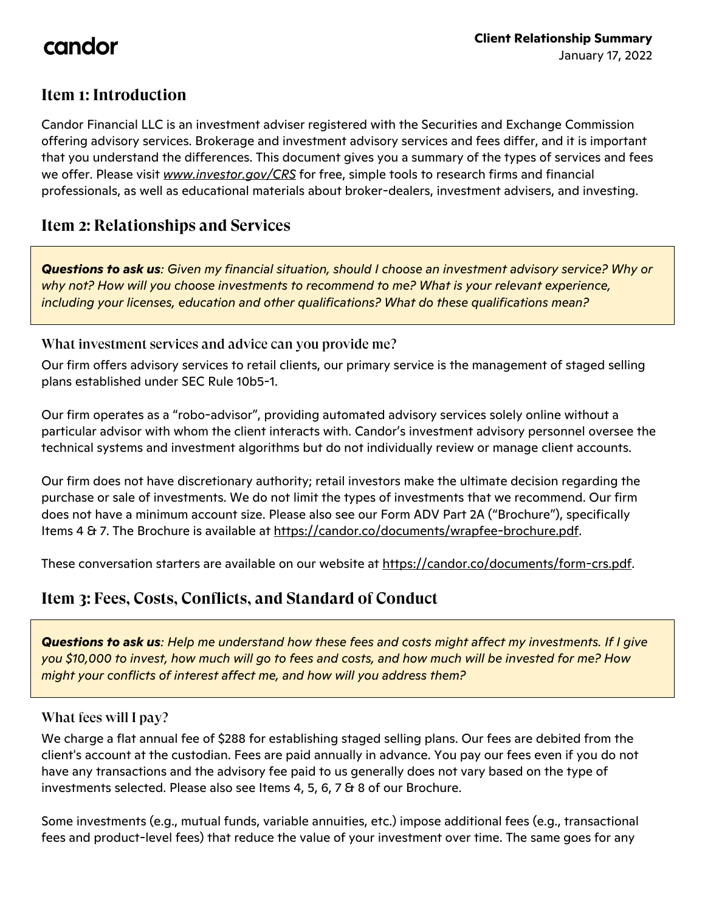# candor

## **Item 1: Introduction**

Candor Financial LLC is an investment adviser registered with the Securities and Exchange Commission offering advisory services. Brokerage and investment advisory services and fees differ, and it is important that you understand the differences. This document gives you a summary of the types of services and fees we offer. Please visit *www.investor.gov/CRS* for free, simple tools to research firms and financial professionals, as well as educational materials about broker-dealers, investment advisers, and investing.

### **Item 2: Relationships and Services**

*Questions to ask us: Given my financial situation, should I choose an investment advisory service? Why or why not? How will you choose investments to recommend to me? What is your relevant experience, including your licenses, education and other qualifications? What do these qualifications mean?*

What investment services and advice can you provide me?

Our firm offers advisory services to retail clients, our primary service is the management of staged selling plans established under SEC Rule 10b5-1.

Our firm operates as a "robo-advisor", providing automated advisory services solely online without a particular advisor with whom the client interacts with. Candor's investment advisory personnel oversee the technical systems and investment algorithms but do not individually review or manage client accounts.

Our firm does not have discretionary authority; retail investors make the ultimate decision regarding the purchase or sale of investments. We do not limit the types of investments that we recommend. Our firm does not have a minimum account size. Please also see our Form ADV Part 2A ("Brochure"), specifically Items 4 & 7. The Brochure is available at https://candor.co/documents/wrapfee-brochure.pdf.

These conversation starters are available on our website at https://candor.co/documents/form-crs.pdf.

## **Item 3: Fees, Costs, Conflicts, and Standard of Conduct**

*Questions to ask us: Help me understand how these fees and costs might affect my investments. If I give you \$10,000 to invest, how much will go to fees and costs, and how much will be invested for me? How might your conflicts of interest affect me, and how will you address them?* 

#### What fees will I pay?

We charge a flat annual fee of \$288 for establishing staged selling plans. Our fees are debited from the client's account at the custodian. Fees are paid annually in advance. You pay our fees even if you do not have any transactions and the advisory fee paid to us generally does not vary based on the type of investments selected. Please also see Items 4, 5, 6, 7 & 8 of our Brochure.

Some investments (e.g., mutual funds, variable annuities, etc.) impose additional fees (e.g., transactional fees and product-level fees) that reduce the value of your investment over time. The same goes for any